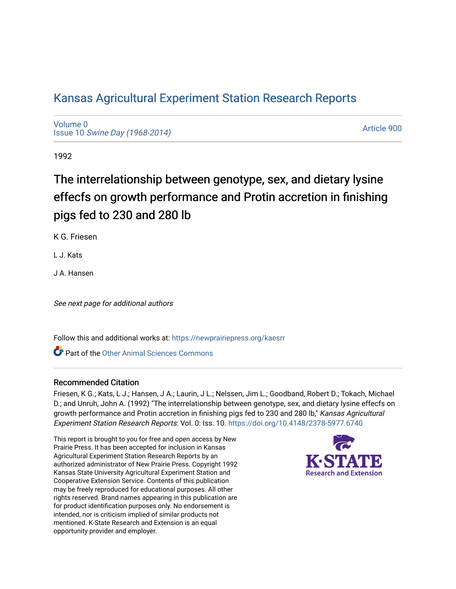# [Kansas Agricultural Experiment Station Research Reports](https://newprairiepress.org/kaesrr)

[Volume 0](https://newprairiepress.org/kaesrr/vol0) Issue 10 [Swine Day \(1968-2014\)](https://newprairiepress.org/kaesrr/vol0/iss10)

[Article 900](https://newprairiepress.org/kaesrr/vol0/iss10/900) 

1992

# The interrelationship between genotype, sex, and dietary lysine effecfs on growth performance and Protin accretion in finishing pigs fed to 230 and 280 lb

K G. Friesen

L J. Kats

J A. Hansen

See next page for additional authors

Follow this and additional works at: [https://newprairiepress.org/kaesrr](https://newprairiepress.org/kaesrr?utm_source=newprairiepress.org%2Fkaesrr%2Fvol0%2Fiss10%2F900&utm_medium=PDF&utm_campaign=PDFCoverPages) 

**C** Part of the [Other Animal Sciences Commons](http://network.bepress.com/hgg/discipline/82?utm_source=newprairiepress.org%2Fkaesrr%2Fvol0%2Fiss10%2F900&utm_medium=PDF&utm_campaign=PDFCoverPages)

## Recommended Citation

Friesen, K G.; Kats, L J.; Hansen, J A.; Laurin, J L.; Nelssen, Jim L.; Goodband, Robert D.; Tokach, Michael D.; and Unruh, John A. (1992) "The interrelationship between genotype, sex, and dietary lysine effecfs on growth performance and Protin accretion in finishing pigs fed to 230 and 280 lb," Kansas Agricultural Experiment Station Research Reports: Vol. 0: Iss. 10. <https://doi.org/10.4148/2378-5977.6740>

This report is brought to you for free and open access by New Prairie Press. It has been accepted for inclusion in Kansas Agricultural Experiment Station Research Reports by an authorized administrator of New Prairie Press. Copyright 1992 Kansas State University Agricultural Experiment Station and Cooperative Extension Service. Contents of this publication may be freely reproduced for educational purposes. All other rights reserved. Brand names appearing in this publication are for product identification purposes only. No endorsement is intended, nor is criticism implied of similar products not mentioned. K-State Research and Extension is an equal opportunity provider and employer.

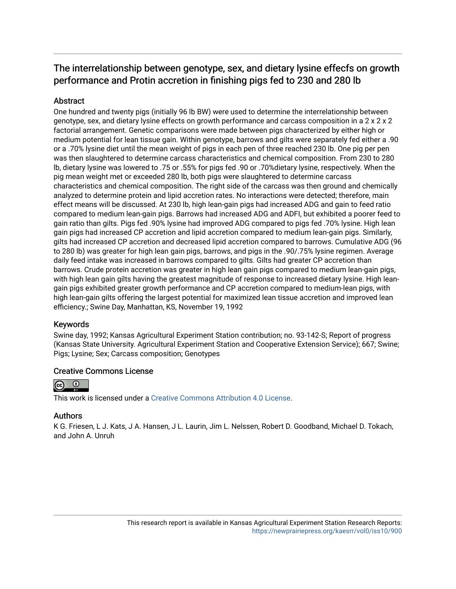# The interrelationship between genotype, sex, and dietary lysine effecfs on growth performance and Protin accretion in finishing pigs fed to 230 and 280 lb

# Abstract

One hundred and twenty pigs (initially 96 lb BW) were used to determine the interrelationship between genotype, sex, and dietary lysine effects on growth performance and carcass composition in a 2 x 2 x 2 factorial arrangement. Genetic comparisons were made between pigs characterized by either high or medium potential for lean tissue gain. Within genotype, barrows and gilts were separately fed either a .90 or a .70% lysine diet until the mean weight of pigs in each pen of three reached 230 lb. One pig per pen was then slaughtered to determine carcass characteristics and chemical composition. From 230 to 280 lb, dietary lysine was lowered to .75 or .55% for pigs fed .90 or .70%dietary lysine, respectively. When the pig mean weight met or exceeded 280 lb, both pigs were slaughtered to determine carcass characteristics and chemical composition. The right side of the carcass was then ground and chemically analyzed to determine protein and lipid accretion rates. No interactions were detected; therefore, main effect means will be discussed. At 230 lb, high lean-gain pigs had increased ADG and gain to feed ratio compared to medium lean-gain pigs. Barrows had increased ADG and ADFI, but exhibited a poorer feed to gain ratio than gilts. Pigs fed .90% lysine had improved ADG compared to pigs fed .70% lysine. High lean gain pigs had increased CP accretion and lipid accretion compared to medium lean-gain pigs. Similarly, gilts had increased CP accretion and decreased lipid accretion compared to barrows. Cumulative ADG (96 to 280 lb) was greater for high lean gain pigs, barrows, and pigs in the .90/.75% lysine regimen. Average daily feed intake was increased in barrows compared to gilts. Gilts had greater CP accretion than barrows. Crude protein accretion was greater in high lean gain pigs compared to medium lean-gain pigs, with high lean gain gilts having the greatest magnitude of response to increased dietary lysine. High leangain pigs exhibited greater growth performance and CP accretion compared to medium-lean pigs, with high lean-gain gilts offering the largest potential for maximized lean tissue accretion and improved lean efficiency.; Swine Day, Manhattan, KS, November 19, 1992

## Keywords

Swine day, 1992; Kansas Agricultural Experiment Station contribution; no. 93-142-S; Report of progress (Kansas State University. Agricultural Experiment Station and Cooperative Extension Service); 667; Swine; Pigs; Lysine; Sex; Carcass composition; Genotypes

## Creative Commons License



This work is licensed under a [Creative Commons Attribution 4.0 License](https://creativecommons.org/licenses/by/4.0/).

## Authors

K G. Friesen, L J. Kats, J A. Hansen, J L. Laurin, Jim L. Nelssen, Robert D. Goodband, Michael D. Tokach, and John A. Unruh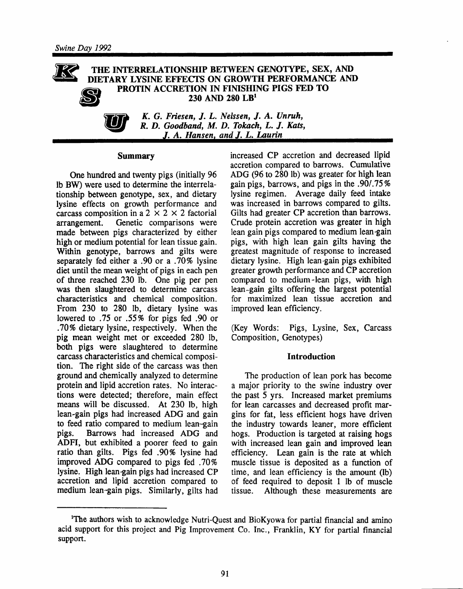#### THE INTERRELATIONSHIP BETWEEN GENOTYPE, SEX, AND DIETARY LYSINE EFFECTS ON GROWTH PERFORMANCE AND PROTIN ACCRETION IN FINISHING PIGS FED TO 230 AND 280 LB<sup>1</sup>



K. G. Friesen, J. L. Nelssen, J. A. Unruh, R. D. Goodband, M. D. Tokach, L. J. Kats, J. A. Hansen, and J. L. Laurin

#### **Summary**

One hundred and twenty pigs (initially 96 Ib BW) were used to determine the interrelationship between genotype, sex, and dietary lysine effects on growth performance and carcass composition in a 2  $\times$  2  $\times$  2 factorial Genetic comparisons were arrangement. made between pigs characterized by either high or medium potential for lean tissue gain. Within genotype, barrows and gilts were separately fed either a .90 or a .70% lysine diet until the mean weight of pigs in each pen of three reached 230 lb. One pig per pen was then slaughtered to determine carcass characteristics and chemical composition. From 230 to 280 lb, dietary lysine was lowered to .75 or .55% for pigs fed .90 or .70% dietary lysine, respectively. When the pig mean weight met or exceeded 280 lb, both pigs were slaughtered to determine carcass characteristics and chemical composition. The right side of the carcass was then ground and chemically analyzed to determine protein and lipid accretion rates. No interactions were detected; therefore, main effect means will be discussed. At 230 lb, high lean-gain pigs had increased ADG and gain to feed ratio compared to medium lean-gain Barrows had increased ADG and pigs. ADFI, but exhibited a poorer feed to gain ratio than gilts. Pigs fed .90% lysine had improved ADG compared to pigs fed. 70% lysine. High lean-gain pigs had increased CP accretion and lipid accretion compared to medium lean-gain pigs. Similarly, gilts had increased CP accretion and decreased lipid accretion compared to barrows. Cumulative ADG (96 to 280 lb) was greater for high lean gain pigs, barrows, and pigs in the .90/.75% lysine regimen. Average daily feed intake was increased in barrows compared to gilts. Gilts had greater CP accretion than barrows. Crude protein accretion was greater in high lean gain pigs compared to medium lean-gain pigs, with high lean gain gilts having the greatest magnitude of response to increased dietary lysine. High lean-gain pigs exhibited greater growth performance and CP accretion compared to medium-lean pigs, with high lean-gain gilts offering the largest potential for maximized lean tissue accretion and improved lean efficiency.

(Key Words: Pigs, Lysine, Sex, Carcass Composition, Genotypes)

#### **Introduction**

The production of lean pork has become a major priority to the swine industry over the past 5 yrs. Increased market premiums for lean carcasses and decreased profit margins for fat, less efficient hogs have driven the industry towards leaner, more efficient hogs. Production is targeted at raising hogs with increased lean gain and improved lean efficiency. Lean gain is the rate at which muscle tissue is deposited as a function of time, and lean efficiency is the amount (lb) of feed required to deposit 1 lb of muscle tissue. Although these measurements are

<sup>&</sup>lt;sup>1</sup>The authors wish to acknowledge Nutri-Quest and BioKyowa for partial financial and amino acid support for this project and Pig Improvement Co. Inc., Franklin, KY for partial financial support.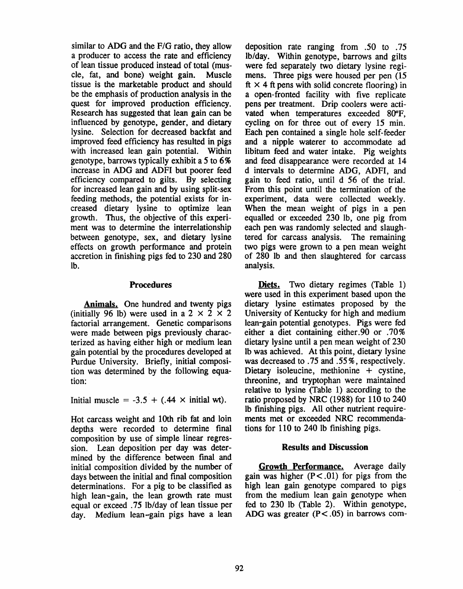similar to ADG and the F/G ratio, they allow a producer to access the rate and efficiency of lean tissue produced instead of total (muscle, fat, and bone) weight gain. Muscle tissue is the marketable product and should be the emphasis of production analysis in the quest for improved production efficiency. Research has suggested that lean gain can be influenced by genotype, gender, and dietary lysine. Selection for decreased backfat and improved feed efficiency has resulted in pigs with increased lean gain potential. Within genotype, barrows typically exhibit a 5 to  $6\%$ increase in ADG and ADFI but poorer feed efficiency compared to gilts. By selecting for increased lean gain and by using split-sex feeding methods, the potential exists for increased dietary lysine to optimize lean growth. Thus, the objective of this experiment was to determine the interrelationship between genotype, sex, and dietary lysine effects on growth performance and protein accretion in finishing pigs fed to 230 and 280 lb.

#### **Procedures**

**Animals.** One hundred and twenty pigs (initially 96 lb) were used in a 2  $\times$  2  $\times$  2 factorial arrangement. Genetic comparisons were made between pigs previously characterized as having either high or medium lean gain potential by the procedures developed at Purdue University. Briefly, initial composition was determined by the following equation:

Initial muscle =  $-3.5 + (.44 \times \text{initial wt}).$ 

Hot carcass weight and 10th rib fat and loin depths were recorded to determine final composition by use of simple linear regression. Lean deposition per day was determined by the difference between final and initial composition divided by the number of days between the initial and final composition determinations. For a pig to be classified as high lean-gain, the lean growth rate must equal or exceed .75 lb/day of lean tissue per day. Medium lean-gain pigs have a lean

deposition rate ranging from .50 to .75 lb/day. Within genotype, barrows and gilts were fed separately two dietary lysine regimens. Three pigs were housed per pen (15) ft  $\times$  4 ft pens with solid concrete flooring) in a open-fronted facility with five replicate pens per treatment. Drip coolers were activated when temperatures exceeded 80°F, cycling on for three out of every 15 min. Each pen contained a single hole self-feeder and a nipple waterer to accommodate ad libitum feed and water intake. Pig weights and feed disappearance were recorded at 14 d intervals to determine ADG, ADFI, and gain to feed ratio, until d 56 of the trial. From this point until the termination of the experiment, data were collected weekly. When the mean weight of pigs in a pen equalled or exceeded 230 lb, one pig from each pen was randomly selected and slaughtered for carcass analysis. The remaining two pigs were grown to a pen mean weight of 280 lb and then slaughtered for carcass analysis.

Diets. Two dietary regimes (Table 1) were used in this experiment based upon the dietary lysine estimates proposed by the University of Kentucky for high and medium lean-gain potential genotypes. Pigs were fed either a diet containing either.90 or .70% dietary lysine until a pen mean weight of 230 Ib was achieved. At this point, dietary lysine was decreased to .75 and .55%, respectively. Dietary isoleucine, methionine  $+$  cystine, threonine, and tryptophan were maintained relative to lysine (Table 1) according to the ratio proposed by NRC (1988) for 110 to 240 lb finishing pigs. All other nutrient requirements met or exceeded NRC recommendations for 110 to 240 lb finishing pigs.

#### **Results and Discussion**

Growth Performance. Average daily gain was higher  $(P < .01)$  for pigs from the high lean gain genotype compared to pigs from the medium lean gain genotype when fed to 230 lb (Table 2). Within genotype, ADG was greater  $(P < .05)$  in barrows com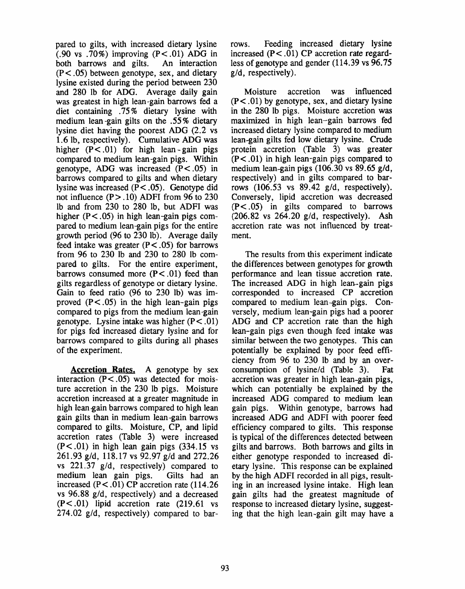pared to gilts, with increased dietary lysine  $(.90 \text{ vs } .70\%)$  improving  $(P<.01)$  ADG in both barrows and gilts. An interaction  $(P<.05)$  between genotype, sex, and dietary lysine existed during the period between 230 and 280 lb for ADG. Average daily gain was greatest in high lean-gain barrows fed a diet containing .75% dietary lysine with medium lean-gain gilts on the .55% dietary lysine diet having the poorest ADG (2.2 vs) 1.6 lb, respectively). Cumulative ADG was higher  $(P < .01)$  for high lean-gain pigs compared to medium lean-gain pigs. Within genotype, ADG was increased  $(P < .05)$  in barrows compared to gilts and when dietary lysine was increased  $(P < .05)$ . Genotype did not influence  $(P > .10)$  ADFI from 96 to 230 lb and from 230 to 280 lb, but ADFI was higher  $(P < .05)$  in high lean-gain pigs compared to medium lean-gain pigs for the entire growth period (96 to 230 lb). Average daily feed intake was greater  $(P < .05)$  for barrows from 96 to 230 lb and 230 to 280 lb compared to gilts. For the entire experiment, barrows consumed more  $(P < .01)$  feed than gilts regardless of genotype or dietary lysine. Gain to feed ratio (96 to 230 lb) was improved  $(P<.05)$  in the high lean-gain pigs compared to pigs from the medium lean-gain genotype. Lysine intake was higher  $(P < .01)$ for pigs fed increased dietary lysine and for barrows compared to gilts during all phases of the experiment.

**Accretion Rates.** A genotype by sex interaction  $(P < .05)$  was detected for moisture accretion in the 230 lb pigs. Moisture accretion increased at a greater magnitude in high lean gain barrows compared to high lean gain gilts than in medium lean-gain barrows compared to gilts. Moisture, CP, and lipid accretion rates (Table 3) were increased  $(P<.01)$  in high lean gain pigs  $(334.15 \text{ vs }$ 261.93 g/d, 118.17 vs 92.97 g/d and 272.26 vs  $221.37$  g/d, respectively) compared to medium lean gain pigs. Gilts had an increased  $(P < .01)$  CP accretion rate (114.26) vs 96.88 g/d, respectively) and a decreased  $(P<.01)$  lipid accretion rate  $(219.61 \text{ vs }$ 274.02  $g/d$ , respectively) compared to bar-

Feeding increased dietary lysine rows. increased  $(P<.01)$  CP accretion rate regardless of genotype and gender  $(114.39 \text{ vs } 96.75)$  $g/d$ , respectively).

accretion was influenced Moisture  $(P<.01)$  by genotype, sex, and dietary lysine in the 280 lb pigs. Moisture accretion was maximized in high lean-gain barrows fed increased dietary lysine compared to medium lean-gain gilts fed low dietary lysine. Crude protein accretion (Table 3) was greater  $(P<.01)$  in high lean-gain pigs compared to medium lean-gain pigs  $(106.30 \text{ vs } 89.65 \text{ g/d})$ , respectively) and in gilts compared to barrows  $(106.53 \text{ vs } 89.42 \text{ g/d}, \text{ respectively}).$ Conversely, lipid accretion was decreased  $(P<.05)$  in gilts compared to barrows  $(206.82 \text{ vs } 264.20 \text{ g/d}, \text{ respectively}).$  Ash accretion rate was not influenced by treatment.

The results from this experiment indicate the differences between genotypes for growth performance and lean tissue accretion rate. The increased ADG in high lean-gain pigs corresponded to increased CP accretion compared to medium lean-gain pigs. Conversely, medium lean-gain pigs had a poorer ADG and CP accretion rate than the high lean-gain pigs even though feed intake was similar between the two genotypes. This can potentially be explained by poor feed efficiency from 96 to 230 lb and by an overconsumption of lysine/d (Table 3). Fat accretion was greater in high lean-gain pigs. which can potentially be explained by the increased ADG compared to medium lean gain pigs. Within genotype, barrows had increased ADG and ADFI with poorer feed efficiency compared to gilts. This response is typical of the differences detected between gilts and barrows. Both barrows and gilts in either genotype responded to increased dietary lysine. This response can be explained by the high ADFI recorded in all pigs, resulting in an increased lysine intake. High lean gain gilts had the greatest magnitude of response to increased dietary lysine, suggesting that the high lean-gain gilt may have a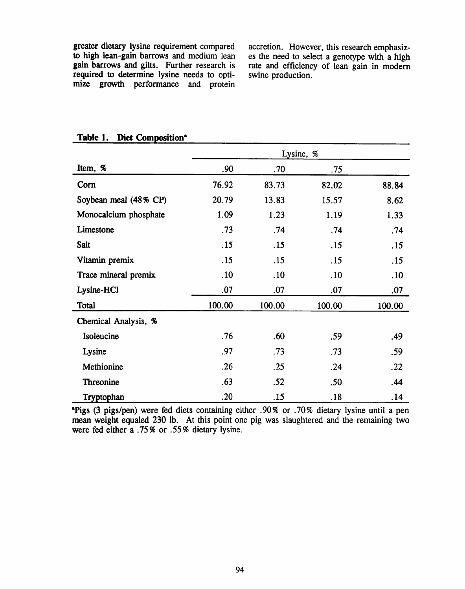greater dietary lysine requirement compared to high lean-gain barrows and medium lean gain barrows and gilts. Further research is required to determine lysine needs to optimize growth performance and protein

accretion. However, this research emphasizes the need to select a genotype with a high rate and efficiency of lean gain in modern swine production.

| Item, %               | .90    | .70    | .75    |        |
|-----------------------|--------|--------|--------|--------|
| Corn                  | 76.92  | 83.73  | 82.02  | 88.84  |
| Soybean meal (48% CP) | 20.79  | 13.83  | 15.57  | 8.62   |
| Monocalcium phosphate | 1.09   | 1.23   | 1.19   | 1.33   |
| Limestone             | .73    | .74    | .74    | .74    |
| <b>Salt</b>           | .15    | .15    | .15    | .15    |
| Vitamin premix        | .15    | .15    | .15    | .15    |
| Trace mineral premix  | .10    | .10    | .10    | .10    |
| Lysine-HCl            | .07    | .07    | .07    | .07    |
| Total                 | 100.00 | 100.00 | 100.00 | 100.00 |
| Chemical Analysis, %  |        |        |        |        |
| Isoleucine            | .76    | .60    | .59    | .49    |
| Lysine                | .97    | .73    | .73    | .59    |
| Methionine            | .26    | .25    | .24    | .22    |
| <b>Threonine</b>      | .63    | .52    | .50    | .44    |
| Tryptophan            | .20    | .15    | .18    | .14    |

#### Table 1. Diet Composition<sup>\*</sup>

"Pigs (3 pigs/pen) were fed diets containing either .90% or .70% dietary lysine until a pen mean weight equaled 230 lb. At this point one pig was slaughtered and the remaining two were fed either a .75% or .55% dietary lysine.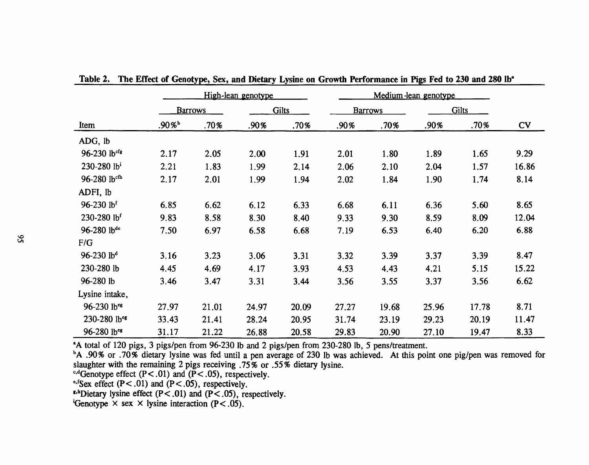|                             | High-lean genotype   |       |              |       |                |       |              |       |           |  |
|-----------------------------|----------------------|-------|--------------|-------|----------------|-------|--------------|-------|-----------|--|
|                             | <b>Barrows</b>       |       | <b>Gilts</b> |       | <b>Barrows</b> |       | <b>Gilts</b> |       |           |  |
| Item                        | $.90\%$ <sup>b</sup> | .70%  | .90%         | .70%  | .90%           | .70%  | .90%         | .70%  | <b>CV</b> |  |
| ADG, lb                     |                      |       |              |       |                |       |              |       |           |  |
| 96-230 lbcfg                | 2.17                 | 2.05  | 2.00         | 1.91  | 2.01           | 1.80  | 1.89         | 1.65  | 9.29      |  |
| $230 - 280$ lb <sup>i</sup> | 2.21                 | 1.83  | 1.99         | 2.14  | 2.06           | 2.10  | 2.04         | 1.57  | 16.86     |  |
| $96 - 280$ lbcfh            | 2.17                 | 2.01  | 1.99         | 1.94  | 2.02           | 1.84  | 1.90         | 1.74  | 8.14      |  |
| ADFI, lb                    |                      |       |              |       |                |       |              |       |           |  |
| 96-230 lbf                  | 6.85                 | 6.62  | 6.12         | 6.33  | 6.68           | 6.11  | 6.36         | 5.60  | 8.65      |  |
| 230-280 lbf                 | 9.83                 | 8.58  | 8.30         | 8.40  | 9.33           | 9.30  | 8.59         | 8.09  | 12.04     |  |
| 96-280 lb <sup>de</sup>     | 7.50                 | 6.97  | 6.58         | 6.68  | 7.19           | 6.53  | 6.40         | 6.20  | 6.88      |  |
| F/G                         |                      |       |              |       |                |       |              |       |           |  |
| $96-230$ lb <sup>d</sup>    | 3.16                 | 3.23  | 3.06         | 3.31  | 3.32           | 3.39  | 3.37         | 3.39  | 8.47      |  |
| 230-280 lb                  | 4.45                 | 4.69  | 4.17         | 3.93  | 4.53           | 4.43  | 4.21         | 5.15  | 15.22     |  |
| 96-280 lb                   | 3.46                 | 3.47  | 3.31         | 3.44  | 3.56           | 3.55  | 3.37         | 3.56  | 6.62      |  |
| Lysine intake,              |                      |       |              |       |                |       |              |       |           |  |
| 96-230 lbes                 | 27.97                | 21.01 | 24.97        | 20.09 | 27.27          | 19.68 | 25.96        | 17.78 | 8.71      |  |
| 230-280 lb <sup>cg</sup>    | 33.43                | 21.41 | 28.24        | 20.95 | 31.74          | 23.19 | 29.23        | 20.19 | 11.47     |  |
| 96-280 lb <sup>eg</sup>     | 31.17                | 21.22 | 26.88        | 20.58 | 29.83          | 20.90 | 27.10        | 19.47 | 8.33      |  |

Table 2. The Effect of Genotype, Sex, and Dietary Lysine on Growth Performance in Pigs Fed to 230 and 280 lb<sup>\*</sup>

A total of 120 pigs, 3 pigs/pen from 96-230 lb and 2 pigs/pen from 230-280 lb, 5 pens/treatment.

<sup>b</sup>A .90% or .70% dietary lysine was fed until a pen average of 230 lb was achieved. At this point one pig/pen was removed for slaughter with the remaining 2 pigs receiving .75% or .55% dietary lysine.

<sup>c,d</sup>Genotype effect (P<.01) and (P<.05), respectively.<br>
<sup>c,d</sup>Genotype effect (P<.01) and (P<.05), respectively.<br>
<sup>e,f</sup>Sex effect (P<.01) and (P<.05), respectively.

<sup>i</sup>Genotype  $\times$  sex  $\times$  lysine interaction (P < .05).